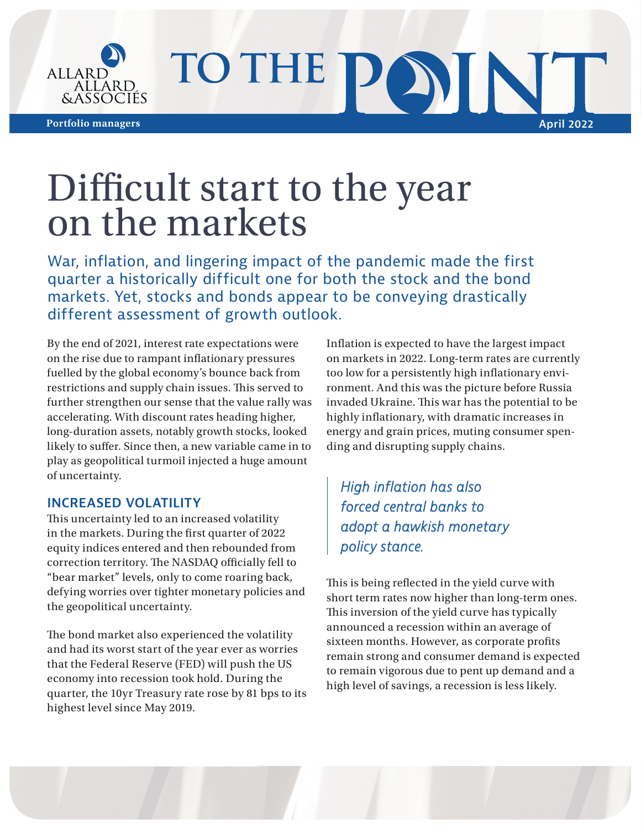

# Difficult start to the year on the markets

War, inflation, and lingering impact of the pandemic made the first quarter a historically difficult one for both the stock and the bond markets. Yet, stocks and bonds appear to be conveying drastically different assessment of growth outlook.

By the end of 2021, interest rate expectations were on the rise due to rampant inflationary pressures fuelled by the global economy's bounce back from restrictions and supply chain issues. This served to further strengthen our sense that the value rally was accelerating. With discount rates heading higher, long-duration assets, notably growth stocks, looked likely to suffer. Since then, a new variable came in to play as geopolitical turmoil injected a huge amount of uncertainty.

## **INCREASED VOLATILITY**

This uncertainty led to an increased volatility in the markets. During the first quarter of 2022 equity indices entered and then rebounded from correction territory. The NASDAQ officially fell to "bear market" levels, only to come roaring back, defying worries over tighter monetary policies and the geopolitical uncertainty.

The bond market also experienced the volatility and had its worst start of the year ever as worries that the Federal Reserve (FED) will push the US economy into recession took hold. During the quarter, the 10yr Treasury rate rose by 81 bps to its highest level since May 2019.

Inflation is expected to have the largest impact on markets in 2022. Long-term rates are currently too low for a persistently high inflationary environment. And this was the picture before Russia invaded Ukraine. This war has the potential to be highly inflationary, with dramatic increases in energy and grain prices, muting consumer spending and disrupting supply chains.

# *High inflation has also forced central banks to adopt a hawkish monetary policy stance.*

This is being reflected in the yield curve with short term rates now higher than long-term ones. This inversion of the yield curve has typically announced a recession within an average of sixteen months. However, as corporate profits remain strong and consumer demand is expected to remain vigorous due to pent up demand and a high level of savings, a recession is less likely.